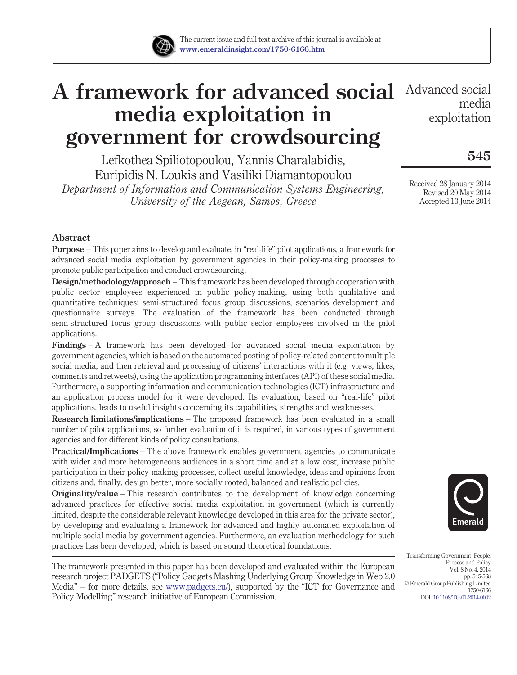

# **A framework for advanced social media exploitation in government for crowdsourcing**

Lefkothea Spiliotopoulou, Yannis Charalabidis, Euripidis N. Loukis and Vasiliki Diamantopoulou *Department of Information and Communication Systems Engineering, University of the Aegean, Samos, Greece*

Advanced social media exploitation

## **545**

Received 28 January 2014 Revised 20 May 2014 Accepted 13 June 2014

#### **Abstract**

**Purpose** – This paper aims to develop and evaluate, in "real-life" pilot applications, a framework for advanced social media exploitation by government agencies in their policy-making processes to promote public participation and conduct crowdsourcing.

**Design/methodology/approach** – This framework has been developed through cooperation with public sector employees experienced in public policy-making, using both qualitative and quantitative techniques: semi-structured focus group discussions, scenarios development and questionnaire surveys. The evaluation of the framework has been conducted through semi-structured focus group discussions with public sector employees involved in the pilot applications.

**Findings** – A framework has been developed for advanced social media exploitation by government agencies, which is based on the automated posting of policy-related content to multiple social media, and then retrieval and processing of citizens' interactions with it (e.g. views, likes, comments and retweets), using the application programming interfaces (API) of these social media. Furthermore, a supporting information and communication technologies (ICT) infrastructure and an application process model for it were developed. Its evaluation, based on "real-life" pilot applications, leads to useful insights concerning its capabilities, strengths and weaknesses.

**Research limitations/implications** – The proposed framework has been evaluated in a small number of pilot applications, so further evaluation of it is required, in various types of government agencies and for different kinds of policy consultations.

**Practical/Implications** – The above framework enables government agencies to communicate with wider and more heterogeneous audiences in a short time and at a low cost, increase public participation in their policy-making processes, collect useful knowledge, ideas and opinions from citizens and, finally, design better, more socially rooted, balanced and realistic policies.

**Originality/value** – This research contributes to the development of knowledge concerning advanced practices for effective social media exploitation in government (which is currently limited, despite the considerable relevant knowledge developed in this area for the private sector), by developing and evaluating a framework for advanced and highly automated exploitation of multiple social media by government agencies. Furthermore, an evaluation methodology for such practices has been developed, which is based on sound theoretical foundations.

The framework presented in this paper has been developed and evaluated within the European research project PADGETS ("Policy Gadgets Mashing Underlying Group Knowledge in Web 2.0 Media" – for more details, see [www.padgets.eu/\)](http://www.padgets.eu/), supported by the "ICT for Governance and Policy Modelling" research initiative of European Commission.



Transforming Government: People, Process and Policy Vol. 8 No. 4, 2014 pp. 545-568 © Emerald Group Publishing Limited 1750-6166 DOI [10.1108/TG-01-2014-0002](http://dx.doi.org/10.1108/TG-01-2014-0002)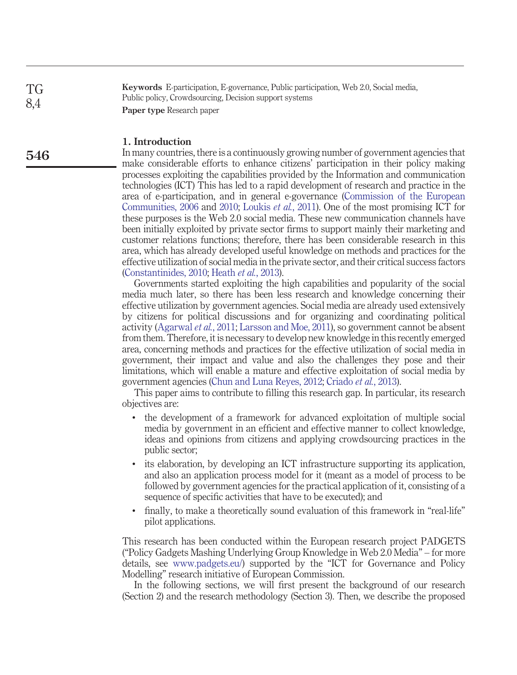**Keywords** E-participation, E-governance, Public participation, Web 2.0, Social media, Public policy, Crowdsourcing, Decision support systems **Paper type** Research paper TG 8,4

#### **1. Introduction**

**546**

In many countries, there is a continuously growing number of government agencies that make considerable efforts to enhance citizens' participation in their policy making processes exploiting the capabilities provided by the Information and communication technologies (ICT) This has led to a rapid development of research and practice in the area of e-participation, and in general e-governance [\(Commission of the European](#page-19-0) [Communities,](#page-19-0) 2006 and [2010;](#page-20-0) [Loukis](#page-20-1) *et al.*, 2011). One of the most promising ICT for these purposes is the Web 2.0 social media. These new communication channels have been initially exploited by private sector firms to support mainly their marketing and customer relations functions; therefore, there has been considerable research in this area, which has already developed useful knowledge on methods and practices for the effective utilization of social media in the private sector, and their critical success factors [\(Constantinides, 2010;](#page-20-2) Heath *et al.*[, 2013\)](#page-20-3).

Governments started exploiting the high capabilities and popularity of the social media much later, so there has been less research and knowledge concerning their effective utilization by government agencies. Social media are already used extensively by citizens for political discussions and for organizing and coordinating political activity [\(Agarwal](#page-19-1) *et al.*, 2011; [Larsson and Moe, 2011\)](#page-20-4), so government cannot be absent from them. Therefore, it is necessary to develop new knowledge in this recently emerged area, concerning methods and practices for the effective utilization of social media in government, their impact and value and also the challenges they pose and their limitations, which will enable a mature and effective exploitation of social media by government agencies [\(Chun and Luna Reyes, 2012;](#page-19-2) [Criado](#page-20-5) *et al.*, 2013).

This paper aims to contribute to filling this research gap. In particular, its research objectives are:

- the development of a framework for advanced exploitation of multiple social media by government in an efficient and effective manner to collect knowledge, ideas and opinions from citizens and applying crowdsourcing practices in the public sector;
- its elaboration, by developing an ICT infrastructure supporting its application, and also an application process model for it (meant as a model of process to be followed by government agencies for the practical application of it, consisting of a sequence of specific activities that have to be executed); and
- finally, to make a theoretically sound evaluation of this framework in "real-life" pilot applications.

This research has been conducted within the European research project PADGETS ("Policy Gadgets Mashing Underlying Group Knowledge in Web 2.0 Media" – for more details, see [www.padgets.eu/\)](http://www.padgets.eu/) supported by the "ICT for Governance and Policy Modelling" research initiative of European Commission.

In the following sections, we will first present the background of our research (Section 2) and the research methodology (Section 3). Then, we describe the proposed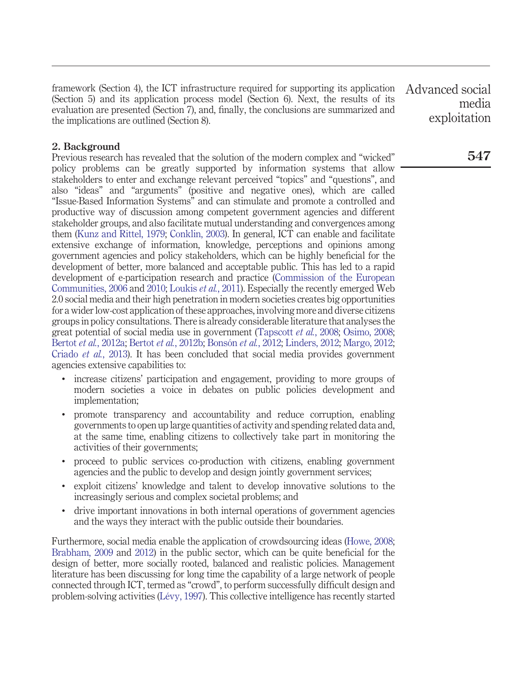framework (Section 4), the ICT infrastructure required for supporting its application (Section 5) and its application process model (Section 6). Next, the results of its evaluation are presented (Section 7), and, finally, the conclusions are summarized and the implications are outlined (Section 8).

**2. Background**

Previous research has revealed that the solution of the modern complex and "wicked" policy problems can be greatly supported by information systems that allow stakeholders to enter and exchange relevant perceived "topics" and "questions", and also "ideas" and "arguments" (positive and negative ones), which are called "Issue-Based Information Systems" and can stimulate and promote a controlled and productive way of discussion among competent government agencies and different stakeholder groups, and also facilitate mutual understanding and convergences among them [\(Kunz and Rittel, 1979;](#page-20-6) [Conklin, 2003\)](#page-20-7). In general, ICT can enable and facilitate extensive exchange of information, knowledge, perceptions and opinions among government agencies and policy stakeholders, which can be highly beneficial for the development of better, more balanced and acceptable public. This has led to a rapid development of e-participation research and practice [\(Commission of the European](#page-19-0) [Communities,](#page-19-0) 2006 and [2010;](#page-20-0) [Loukis](#page-20-1) *et al.*, 2011). Especially the recently emerged Web 2.0 social media and their high penetration in modern societies creates big opportunities for a wider low-cost application of these approaches, involving more and diverse citizens groups in policy consultations. There is already considerable literature that analyses the great potential of social media use in government [\(Tapscott](#page-21-0) *et al.*, 2008; [Osimo, 2008;](#page-20-8) Bertot *et al.*[, 2012a;](#page-19-3) Bertot *et al.*[, 2012b;](#page-19-4) [Bonsón](#page-19-5) *et al.*, 2012; [Linders, 2012;](#page-20-9) [Margo, 2012;](#page-20-10) [Criado](#page-20-5) *et al.*, 2013). It has been concluded that social media provides government agencies extensive capabilities to:

- increase citizens' participation and engagement, providing to more groups of modern societies a voice in debates on public policies development and implementation;
- promote transparency and accountability and reduce corruption, enabling governments to open up large quantities of activity and spending related data and, at the same time, enabling citizens to collectively take part in monitoring the activities of their governments;
- proceed to public services co-production with citizens, enabling government agencies and the public to develop and design jointly government services;
- exploit citizens' knowledge and talent to develop innovative solutions to the increasingly serious and complex societal problems; and
- drive important innovations in both internal operations of government agencies and the ways they interact with the public outside their boundaries.

Furthermore, social media enable the application of crowdsourcing ideas [\(Howe, 2008;](#page-20-11) [Brabham, 2009](#page-19-6) and [2012\)](#page-19-7) in the public sector, which can be quite beneficial for the design of better, more socially rooted, balanced and realistic policies. Management literature has been discussing for long time the capability of a large network of people connected through ICT, termed as "crowd", to perform successfully difficult design and problem-solving activities [\(Lévy, 1997\)](#page-20-12). This collective intelligence has recently started

Advanced social media exploitation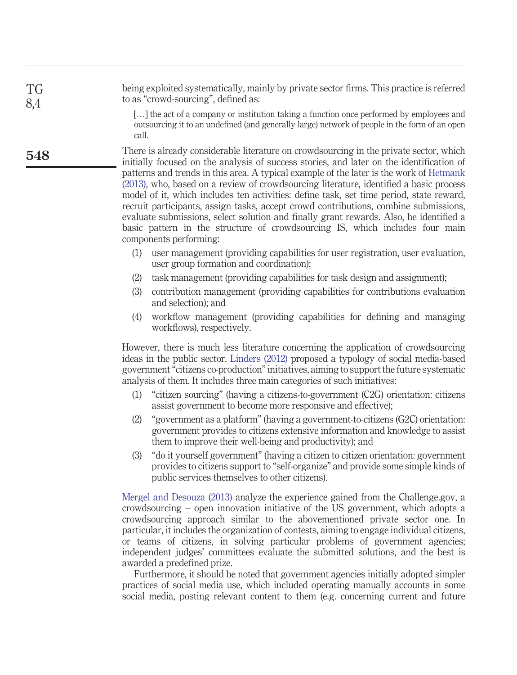being exploited systematically, mainly by private sector firms. This practice is referred to as "crowd-sourcing", defined as: TG 8,4

**548**

[...] the act of a company or institution taking a function once performed by employees and outsourcing it to an undefined (and generally large) network of people in the form of an open call.

There is already considerable literature on crowdsourcing in the private sector, which initially focused on the analysis of success stories, and later on the identification of patterns and trends in this area. A typical example of the later is the work of [Hetmank](#page-20-13) [\(2013\),](#page-20-13) who, based on a review of crowdsourcing literature, identified a basic process model of it, which includes ten activities: define task, set time period, state reward, recruit participants, assign tasks, accept crowd contributions, combine submissions, evaluate submissions, select solution and finally grant rewards. Also, he identified a basic pattern in the structure of crowdsourcing IS, which includes four main components performing:

- (1) user management (providing capabilities for user registration, user evaluation, user group formation and coordination);
- (2) task management (providing capabilities for task design and assignment);
- (3) contribution management (providing capabilities for contributions evaluation and selection); and
- (4) workflow management (providing capabilities for defining and managing workflows), respectively.

However, there is much less literature concerning the application of crowdsourcing ideas in the public sector. [Linders \(2012\)](#page-20-9) proposed a typology of social media-based government"citizens co-production" initiatives, aiming to support the future systematic analysis of them. It includes three main categories of such initiatives:

- (1) "citizen sourcing" (having a citizens-to-government (C2G) orientation: citizens assist government to become more responsive and effective);
- (2) "government as a platform" (having a government-to-citizens (G2C) orientation: government provides to citizens extensive information and knowledge to assist them to improve their well-being and productivity); and
- (3) "do it yourself government" (having a citizen to citizen orientation: government provides to citizens support to "self-organize" and provide some simple kinds of public services themselves to other citizens).

[Mergel and Desouza \(2013\)](#page-20-14) analyze the experience gained from the Challenge.gov, a crowdsourcing – open innovation initiative of the US government, which adopts a crowdsourcing approach similar to the abovementioned private sector one. In particular, it includes the organization of contests, aiming to engage individual citizens, or teams of citizens, in solving particular problems of government agencies; independent judges' committees evaluate the submitted solutions, and the best is awarded a predefined prize.

Furthermore, it should be noted that government agencies initially adopted simpler practices of social media use, which included operating manually accounts in some social media, posting relevant content to them (e.g. concerning current and future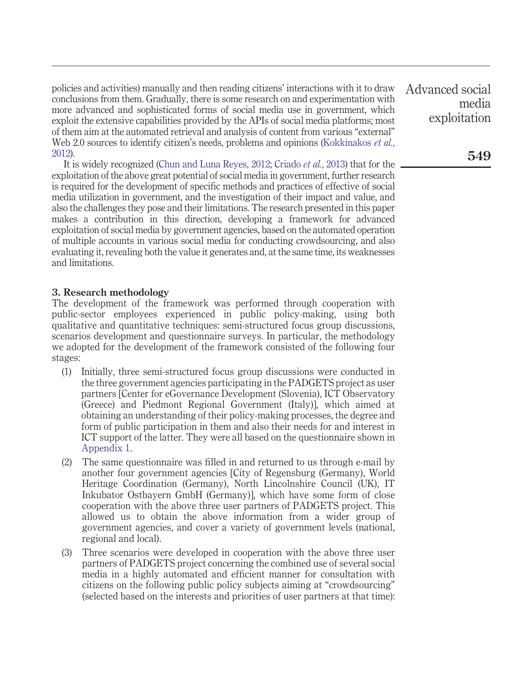policies and activities) manually and then reading citizens' interactions with it to draw conclusions from them. Gradually, there is some research on and experimentation with more advanced and sophisticated forms of social media use in government, which exploit the extensive capabilities provided by the APIs of social media platforms; most of them aim at the automated retrieval and analysis of content from various "external" Web 2.0 sources to identify citizen's needs, problems and opinions [\(Kokkinakos](#page-20-15) *et al.*, [2012\)](#page-20-15).

It is widely recognized [\(Chun and Luna Reyes, 2012;](#page-19-2) [Criado](#page-20-5) *et al.*, 2013) that for the exploitation of the above great potential of social media in government, further research is required for the development of specific methods and practices of effective of social media utilization in government, and the investigation of their impact and value, and also the challenges they pose and their limitations. The research presented in this paper makes a contribution in this direction, developing a framework for advanced exploitation of social media by government agencies, based on the automated operation of multiple accounts in various social media for conducting crowdsourcing, and also evaluating it, revealing both the value it generates and, at the same time, its weaknesses and limitations.

### **3. Research methodology**

The development of the framework was performed through cooperation with public-sector employees experienced in public policy-making, using both qualitative and quantitative techniques: semi-structured focus group discussions, scenarios development and questionnaire surveys. In particular, the methodology we adopted for the development of the framework consisted of the following four stages:

- (1) Initially, three semi-structured focus group discussions were conducted in the three government agencies participating in the PADGETS project as user partners [Center for eGovernance Development (Slovenia), ICT Observatory (Greece) and Piedmont Regional Government (Italy)], which aimed at obtaining an understanding of their policy-making processes, the degree and form of public participation in them and also their needs for and interest in ICT support of the latter. They were all based on the questionnaire shown in [Appendix 1.](#page-21-1)
- (2) The same questionnaire was filled in and returned to us through e-mail by another four government agencies [City of Regensburg (Germany), World Heritage Coordination (Germany), North Lincolnshire Council (UK), IT Inkubator Ostbayern GmbH (Germany)], which have some form of close cooperation with the above three user partners of PADGETS project. This allowed us to obtain the above information from a wider group of government agencies, and cover a variety of government levels (national, regional and local).
- (3) Three scenarios were developed in cooperation with the above three user partners of PADGETS project concerning the combined use of several social media in a highly automated and efficient manner for consultation with citizens on the following public policy subjects aiming at "crowdsourcing" (selected based on the interests and priorities of user partners at that time):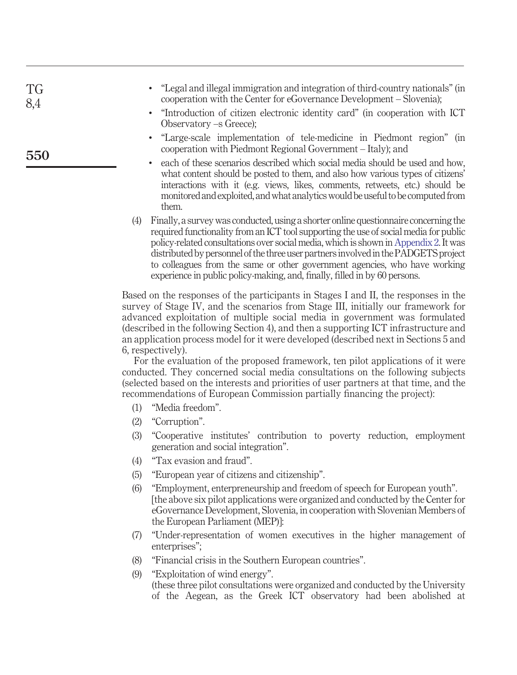- "Legal and illegal immigration and integration of third-country nationals" (in cooperation with the Center for eGovernance Development – Slovenia);
	- "Introduction of citizen electronic identity card" (in cooperation with ICT Observatory –s Greece);
	- "Large-scale implementation of tele-medicine in Piedmont region" (in cooperation with Piedmont Regional Government – Italy); and
	- each of these scenarios described which social media should be used and how, what content should be posted to them, and also how various types of citizens' interactions with it (e.g. views, likes, comments, retweets, etc.) should be monitored and exploited, and what analytics would be useful to be computed from them.
	- (4) Finally, a survey was conducted, using a shorter online questionnaire concerning the required functionality from an ICT tool supporting the use of social media for public policy-related consultations over social media, which is shown in [Appendix 2.](#page-21-1) It was distributed by personnel of the three user partners involved in the PADGETS project to colleagues from the same or other government agencies, who have working experience in public policy-making, and, finally, filled in by 60 persons.

Based on the responses of the participants in Stages I and II, the responses in the survey of Stage IV, and the scenarios from Stage III, initially our framework for advanced exploitation of multiple social media in government was formulated (described in the following Section 4), and then a supporting ICT infrastructure and an application process model for it were developed (described next in Sections 5 and 6, respectively).

For the evaluation of the proposed framework, ten pilot applications of it were conducted. They concerned social media consultations on the following subjects (selected based on the interests and priorities of user partners at that time, and the recommendations of European Commission partially financing the project):

- (1) "Media freedom".
- (2) "Corruption".

TG 8,4

- (3) "Cooperative institutes' contribution to poverty reduction, employment generation and social integration".
- (4) "Tax evasion and fraud".
- (5) "European year of citizens and citizenship".
- (6) "Employment, enterpreneurship and freedom of speech for European youth". [the above six pilot applications were organized and conducted by the Center for eGovernance Development, Slovenia, in cooperation with Slovenian Members of the European Parliament (MEP)]:
- (7) "Under-representation of women executives in the higher management of enterprises";
- (8) "Financial crisis in the Southern European countries".
- (9) "Exploitation of wind energy". (these three pilot consultations were organized and conducted by the University of the Aegean, as the Greek ICT observatory had been abolished at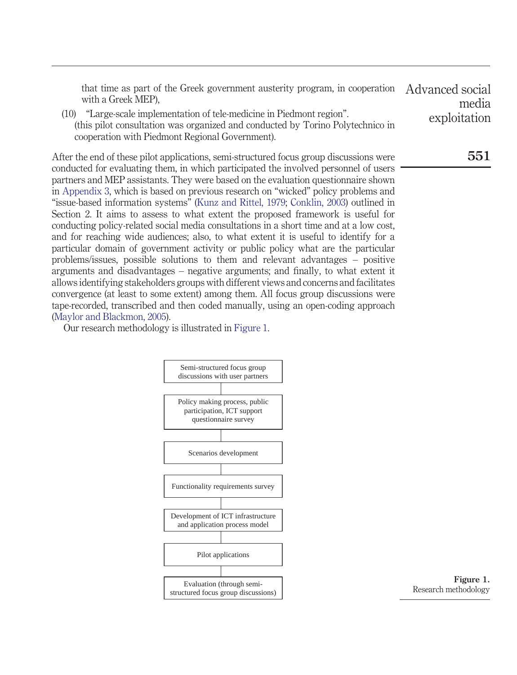|                    |  |  |  |  |  |  | that time as part of the Greek government austerity program, in cooperation Advanced social |       |
|--------------------|--|--|--|--|--|--|---------------------------------------------------------------------------------------------|-------|
| with a Greek MEP), |  |  |  |  |  |  |                                                                                             | media |
|                    |  |  |  |  |  |  |                                                                                             |       |

(10) "Large-scale implementation of tele-medicine in Piedmont region". (this pilot consultation was organized and conducted by Torino Polytechnico in cooperation with Piedmont Regional Government).

After the end of these pilot applications, semi-structured focus group discussions were conducted for evaluating them, in which participated the involved personnel of users partners and MEP assistants. They were based on the evaluation questionnaire shown in [Appendix 3,](#page-21-1) which is based on previous research on "wicked" policy problems and "issue-based information systems" [\(Kunz and Rittel, 1979;](#page-20-6) [Conklin, 2003\)](#page-20-7) outlined in Section 2. It aims to assess to what extent the proposed framework is useful for conducting policy-related social media consultations in a short time and at a low cost, and for reaching wide audiences; also, to what extent it is useful to identify for a particular domain of government activity or public policy what are the particular problems/issues, possible solutions to them and relevant advantages – positive arguments and disadvantages – negative arguments; and finally, to what extent it allows identifying stakeholders groups with different views and concerns and facilitates convergence (at least to some extent) among them. All focus group discussions were tape-recorded, transcribed and then coded manually, using an open-coding approach [\(Maylor and Blackmon, 2005\)](#page-20-16).

Our research methodology is illustrated in [Figure 1.](#page-6-0)



<span id="page-6-0"></span>**Figure 1.** Research methodology

**551**

exploitation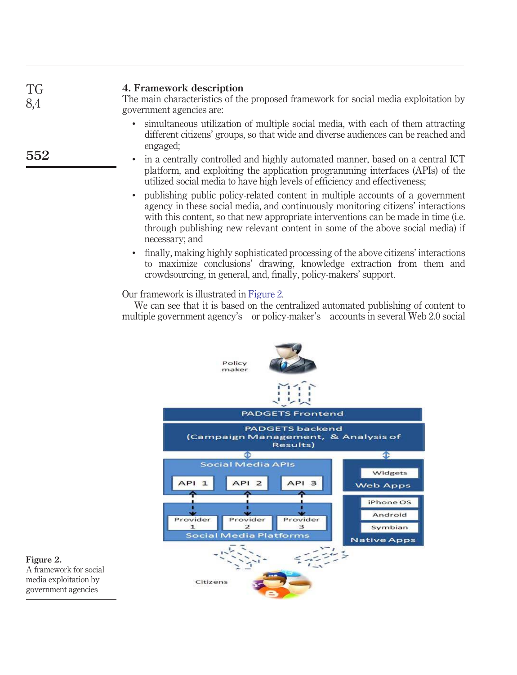| TG<br>8,4 | 4. Framework description<br>The main characteristics of the proposed framework for social media exploitation by<br>government agencies are:                            |
|-----------|------------------------------------------------------------------------------------------------------------------------------------------------------------------------|
|           | • simultaneous utilization of multiple social media, with each of them attracting<br>different citizens' groups, so that wide and diverse audiences can be reached and |

- in a centrally controlled and highly automated manner, based on a central ICT platform, and exploiting the application programming interfaces (APIs) of the utilized social media to have high levels of efficiency and effectiveness;
- publishing public policy-related content in multiple accounts of a government agency in these social media, and continuously monitoring citizens' interactions with this content, so that new appropriate interventions can be made in time (i.e. through publishing new relevant content in some of the above social media) if necessary; and
- finally, making highly sophisticated processing of the above citizens' interactions to maximize conclusions' drawing, knowledge extraction from them and crowdsourcing, in general, and, finally, policy-makers' support.

Our framework is illustrated in [Figure 2.](#page-7-0)

engaged;

We can see that it is based on the centralized automated publishing of content to multiple government agency's – or policy-maker's – accounts in several Web 2.0 social



<span id="page-7-0"></span>**Figure 2.** A framework for social media exploitation by government agencies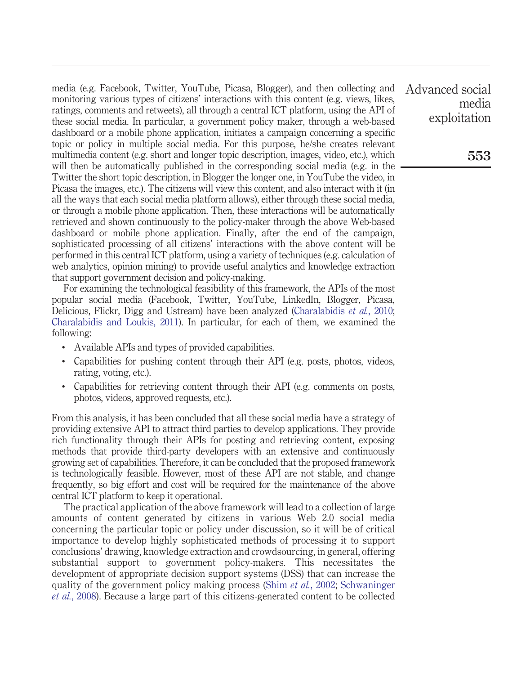media (e.g. Facebook, Twitter, YouTube, Picasa, Blogger), and then collecting and monitoring various types of citizens' interactions with this content (e.g. views, likes, ratings, comments and retweets), all through a central ICT platform, using the API of these social media. In particular, a government policy maker, through a web-based dashboard or a mobile phone application, initiates a campaign concerning a specific topic or policy in multiple social media. For this purpose, he/she creates relevant multimedia content (e.g. short and longer topic description, images, video, etc.), which will then be automatically published in the corresponding social media (e.g. in the Twitter the short topic description, in Blogger the longer one, in YouTube the video, in Picasa the images, etc.). The citizens will view this content, and also interact with it (in all the ways that each social media platform allows), either through these social media, or through a mobile phone application. Then, these interactions will be automatically retrieved and shown continuously to the policy-maker through the above Web-based dashboard or mobile phone application. Finally, after the end of the campaign, sophisticated processing of all citizens' interactions with the above content will be performed in this central ICT platform, using a variety of techniques (e.g. calculation of web analytics, opinion mining) to provide useful analytics and knowledge extraction that support government decision and policy-making.

For examining the technological feasibility of this framework, the APIs of the most popular social media (Facebook, Twitter, YouTube, LinkedIn, Blogger, Picasa, Delicious, Flickr, Digg and Ustream) have been analyzed [\(Charalabidis](#page-19-8) *et al.*, 2010; [Charalabidis and Loukis, 2011\)](#page-19-9). In particular, for each of them, we examined the following:

- Available APIs and types of provided capabilities.
- Capabilities for pushing content through their API (e.g. posts, photos, videos, rating, voting, etc.).
- Capabilities for retrieving content through their API (e.g. comments on posts, photos, videos, approved requests, etc.).

From this analysis, it has been concluded that all these social media have a strategy of providing extensive API to attract third parties to develop applications. They provide rich functionality through their APIs for posting and retrieving content, exposing methods that provide third-party developers with an extensive and continuously growing set of capabilities. Therefore, it can be concluded that the proposed framework is technologically feasible. However, most of these API are not stable, and change frequently, so big effort and cost will be required for the maintenance of the above central ICT platform to keep it operational.

The practical application of the above framework will lead to a collection of large amounts of content generated by citizens in various Web 2.0 social media concerning the particular topic or policy under discussion, so it will be of critical importance to develop highly sophisticated methods of processing it to support conclusions' drawing, knowledge extraction and crowdsourcing, in general, offering substantial support to government policy-makers. This necessitates the development of appropriate decision support systems (DSS) that can increase the quality of the government policy making process (Shim *et al.*[, 2002;](#page-21-2) [Schwaninger](#page-21-3) *et al.*[, 2008\)](#page-21-3). Because a large part of this citizens-generated content to be collected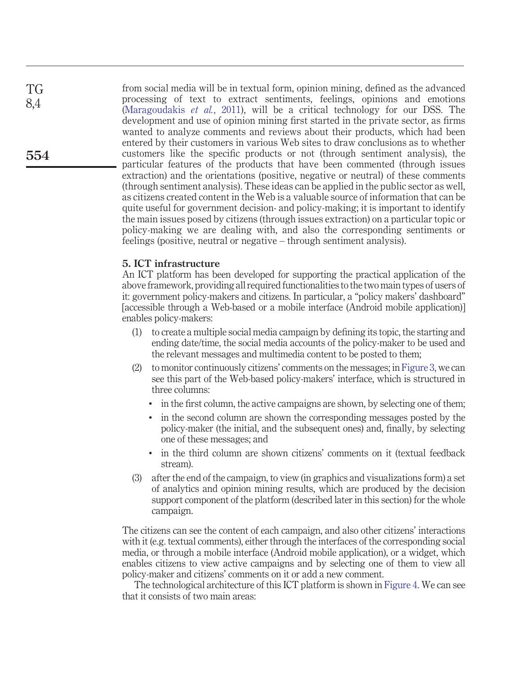from social media will be in textual form, opinion mining, defined as the advanced processing of text to extract sentiments, feelings, opinions and emotions [\(Maragoudakis](#page-20-17) *et al.*, 2011), will be a critical technology for our DSS. The development and use of opinion mining first started in the private sector, as firms wanted to analyze comments and reviews about their products, which had been entered by their customers in various Web sites to draw conclusions as to whether customers like the specific products or not (through sentiment analysis), the particular features of the products that have been commented (through issues extraction) and the orientations (positive, negative or neutral) of these comments (through sentiment analysis). These ideas can be applied in the public sector as well, as citizens created content in the Web is a valuable source of information that can be quite useful for government decision- and policy-making; it is important to identify the main issues posed by citizens (through issues extraction) on a particular topic or policy-making we are dealing with, and also the corresponding sentiments or feelings (positive, neutral or negative – through sentiment analysis).

#### **5. ICT infrastructure**

TG 8,4

**554**

An ICT platform has been developed for supporting the practical application of the above framework, providing all required functionalities to the two main types of users of it: government policy-makers and citizens. In particular, a "policy makers' dashboard" [accessible through a Web-based or a mobile interface (Android mobile application)] enables policy-makers:

- (1) to create a multiple social media campaign by defining its topic, the starting and ending date/time, the social media accounts of the policy-maker to be used and the relevant messages and multimedia content to be posted to them;
- (2) to monitor continuously citizens' comments on the messages; in [Figure 3,](#page-10-0) we can see this part of the Web-based policy-makers' interface, which is structured in three columns:
	- in the first column, the active campaigns are shown, by selecting one of them;
	- in the second column are shown the corresponding messages posted by the policy-maker (the initial, and the subsequent ones) and, finally, by selecting one of these messages; and
	- in the third column are shown citizens' comments on it (textual feedback stream).
- (3) after the end of the campaign, to view (in graphics and visualizations form) a set of analytics and opinion mining results, which are produced by the decision support component of the platform (described later in this section) for the whole campaign.

The citizens can see the content of each campaign, and also other citizens' interactions with it (e.g. textual comments), either through the interfaces of the corresponding social media, or through a mobile interface (Android mobile application), or a widget, which enables citizens to view active campaigns and by selecting one of them to view all policy-maker and citizens' comments on it or add a new comment.

The technological architecture of this ICT platform is shown in [Figure 4.](#page-11-0) We can see that it consists of two main areas: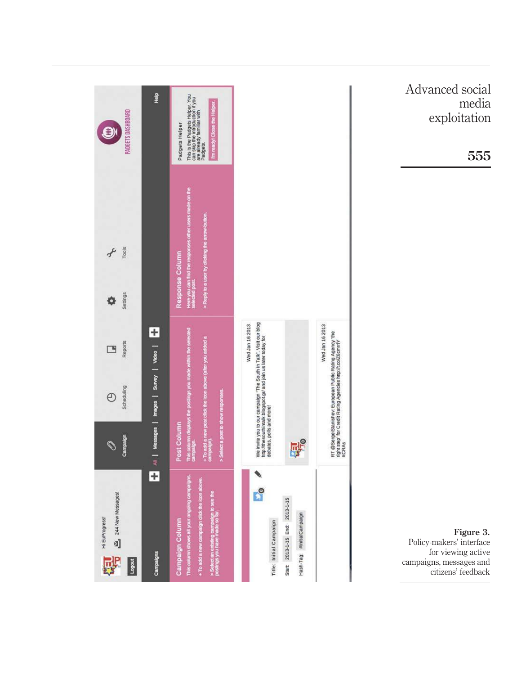| PADGETS DASHBOARD<br>Ø                                                  | Help                                       | This is the Padgets Helper. You<br>can skip the introduction if you<br>are already familiar with<br>I'm ready! Close the Helper.<br>Padgets Helper<br>Padgets.                                                |                                                                                                                                                                                    |                                                              |                                                                                                                                                    |
|-------------------------------------------------------------------------|--------------------------------------------|---------------------------------------------------------------------------------------------------------------------------------------------------------------------------------------------------------------|------------------------------------------------------------------------------------------------------------------------------------------------------------------------------------|--------------------------------------------------------------|----------------------------------------------------------------------------------------------------------------------------------------------------|
| Tools<br>z<br>Settings<br>Ò                                             |                                            | Here you can find the responses other users made on the<br>> Reply to a user by didding the arrow-button.<br>Response Column                                                                                  |                                                                                                                                                                                    |                                                              |                                                                                                                                                    |
| Reports<br>$\Box$<br>Scheduling<br>$\odot$<br>Campaign<br>$\mathscr{O}$ | All All Messages   Images   Survey   Video | This column displays the postings you made within the selected<br>campaign.<br>+ To add a new post click the loon above (after you added a<br>campaign).<br>> Select a post to show responses.<br>Post Column | We invite you to our campaign "The South in Talk". Visit our blog<br>Wed Jan 16 2013<br>http://thesouthintalk.blogspot.gr/ and join us later today for<br>debates, polls and more! | 导                                                            | Wed Jan 16 2013<br>RT @SergelStanishev: European Public Rating Agency "the<br>right step" for Credit Rating Agencies http://t.co/Z6cmrrlY<br>#CRAs |
| 244 New Messages<br>Hi EuProgress!<br>驆<br><b>Logout</b>                | Campaigns                                  | This column shows all your ongoing campaigns.<br>+ To add a new campaign click the icon above.<br>> Select an existing campaign to see the<br>postings you have made so tar.<br><b>Campaign Column</b>        | $\frac{1}{2}$<br>Title: Initial Campaign                                                                                                                                           | Start 2013-1-15 End: 2013-1-15<br>Hash-Tag: #InitialCampaign |                                                                                                                                                    |

Advanced social media exploitation

**555**

<span id="page-10-0"></span>**Figure 3.** Policy-makers' interface for viewing active campaigns, messages and citizens' feedback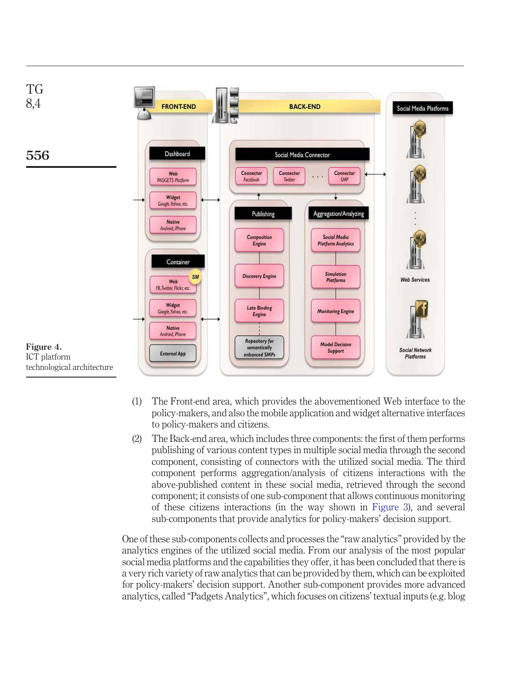

- <span id="page-11-0"></span>(1) The Front-end area, which provides the abovementioned Web interface to the policy-makers, and also the mobile application and widget alternative interfaces to policy-makers and citizens.
- (2) The Back-end area, which includes three components: the first of them performs publishing of various content types in multiple social media through the second component, consisting of connectors with the utilized social media. The third component performs aggregation/analysis of citizens interactions with the above-published content in these social media, retrieved through the second component; it consists of one sub-component that allows continuous monitoring of these citizens interactions (in the way shown in [Figure 3\)](#page-10-0), and several sub-components that provide analytics for policy-makers' decision support.

One of these sub-components collects and processes the "raw analytics" provided by the analytics engines of the utilized social media. From our analysis of the most popular social media platforms and the capabilities they offer, it has been concluded that there is a very rich variety of raw analytics that can be provided by them, which can be exploited for policy-makers' decision support. Another sub-component provides more advanced analytics, called "Padgets Analytics", which focuses on citizens' textual inputs (e.g. blog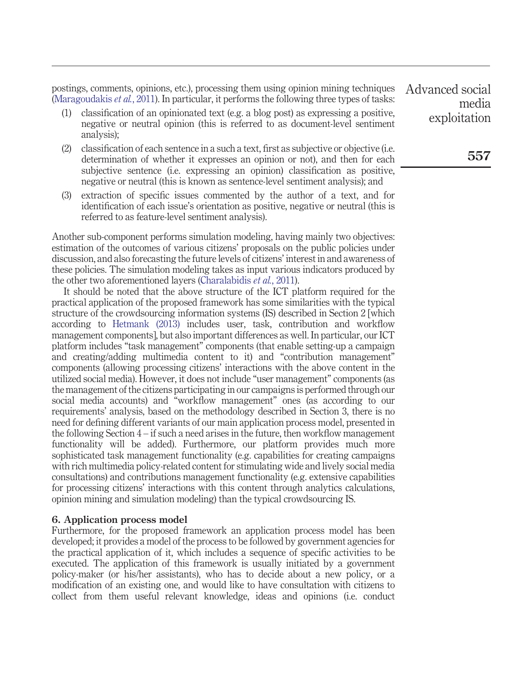postings, comments, opinions, etc.), processing them using opinion mining techniques [\(Maragoudakis](#page-20-17) *et al.*, 2011). In particular, it performs the following three types of tasks:

- (1) classification of an opinionated text (e.g. a blog post) as expressing a positive, negative or neutral opinion (this is referred to as document-level sentiment analysis);
- (2) classification of each sentence in a such a text, first as subjective or objective (i.e. determination of whether it expresses an opinion or not), and then for each subjective sentence (i.e. expressing an opinion) classification as positive, negative or neutral (this is known as sentence-level sentiment analysis); and
- (3) extraction of specific issues commented by the author of a text, and for identification of each issue's orientation as positive, negative or neutral (this is referred to as feature-level sentiment analysis).

Another sub-component performs simulation modeling, having mainly two objectives: estimation of the outcomes of various citizens' proposals on the public policies under discussion, and also forecasting the future levels of citizens' interest in and awareness of these policies. The simulation modeling takes as input various indicators produced by the other two aforementioned layers [\(Charalabidis](#page-19-10) *et al.*, 2011).

It should be noted that the above structure of the ICT platform required for the practical application of the proposed framework has some similarities with the typical structure of the crowdsourcing information systems (IS) described in Section 2 [which according to [Hetmank \(2013\)](#page-20-13) includes user, task, contribution and workflow management components], but also important differences as well. In particular, our ICT platform includes "task management" components (that enable setting-up a campaign and creating/adding multimedia content to it) and "contribution management" components (allowing processing citizens' interactions with the above content in the utilized social media). However, it does not include "user management" components (as the management of the citizens participating in our campaigns is performed through our social media accounts) and "workflow management" ones (as according to our requirements' analysis, based on the methodology described in Section 3, there is no need for defining different variants of our main application process model, presented in the following Section 4 – if such a need arises in the future, then workflow management functionality will be added). Furthermore, our platform provides much more sophisticated task management functionality (e.g. capabilities for creating campaigns with rich multimedia policy-related content for stimulating wide and lively social media consultations) and contributions management functionality (e.g. extensive capabilities for processing citizens' interactions with this content through analytics calculations, opinion mining and simulation modeling) than the typical crowdsourcing IS.

#### **6. Application process model**

Furthermore, for the proposed framework an application process model has been developed; it provides a model of the process to be followed by government agencies for the practical application of it, which includes a sequence of specific activities to be executed. The application of this framework is usually initiated by a government policy-maker (or his/her assistants), who has to decide about a new policy, or a modification of an existing one, and would like to have consultation with citizens to collect from them useful relevant knowledge, ideas and opinions (i.e. conduct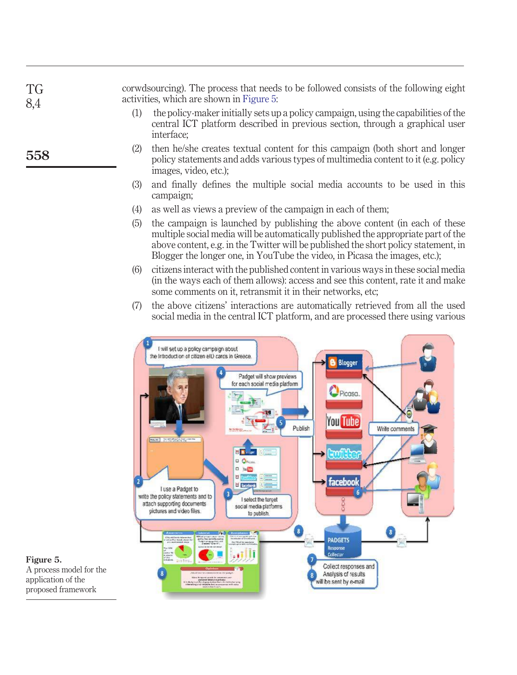| TG  | corwdsourcing). The process that needs to be followed consists of the following eight |
|-----|---------------------------------------------------------------------------------------|
| 8,4 | activities, which are shown in Figure 5.                                              |
|     | the policy-maker initially sets up a policy campaign, using the capabilities of the   |

- central ICT platform described in previous section, through a graphical user interface;
- (2) then he/she creates textual content for this campaign (both short and longer policy statements and adds various types of multimedia content to it (e.g. policy images, video, etc.);
- (3) and finally defines the multiple social media accounts to be used in this campaign;
- (4) as well as views a preview of the campaign in each of them;
- (5) the campaign is launched by publishing the above content (in each of these multiple social media will be automatically published the appropriate part of the above content, e.g. in the Twitter will be published the short policy statement, in Blogger the longer one, in YouTube the video, in Picasa the images, etc.);
- (6) citizens interact with the published content in various ways in these social media (in the ways each of them allows): access and see this content, rate it and make some comments on it, retransmit it in their networks, etc;
- (7) the above citizens' interactions are automatically retrieved from all the used social media in the central ICT platform, and are processed there using various



<span id="page-13-0"></span>**Figure 5.** A process model for the application of the proposed framework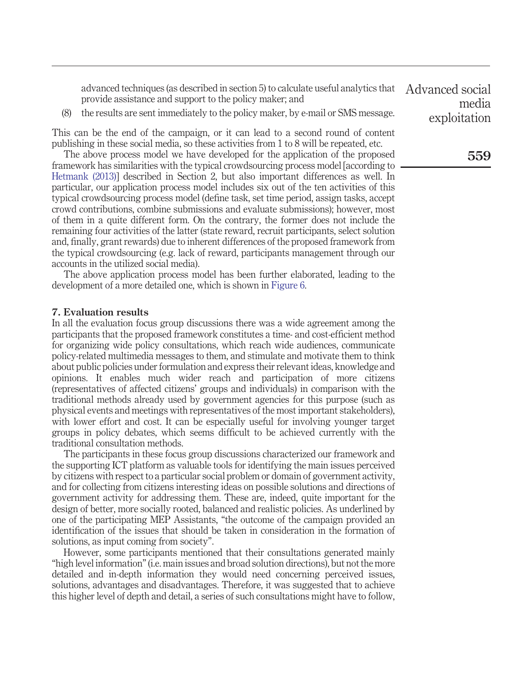advanced techniques (as described in section 5) to calculate useful analytics that provide assistance and support to the policy maker; and

(8) the results are sent immediately to the policy maker, by e-mail or SMS message.

This can be the end of the campaign, or it can lead to a second round of content publishing in these social media, so these activities from 1 to 8 will be repeated, etc.

The above process model we have developed for the application of the proposed framework has similarities with the typical crowdsourcing process model [according to [Hetmank \(2013\)\]](#page-20-13) described in Section 2, but also important differences as well. In particular, our application process model includes six out of the ten activities of this typical crowdsourcing process model (define task, set time period, assign tasks, accept crowd contributions, combine submissions and evaluate submissions); however, most of them in a quite different form. On the contrary, the former does not include the remaining four activities of the latter (state reward, recruit participants, select solution and, finally, grant rewards) due to inherent differences of the proposed framework from the typical crowdsourcing (e.g. lack of reward, participants management through our accounts in the utilized social media).

The above application process model has been further elaborated, leading to the development of a more detailed one, which is shown in [Figure 6.](#page-15-0)

#### **7. Evaluation results**

In all the evaluation focus group discussions there was a wide agreement among the participants that the proposed framework constitutes a time- and cost-efficient method for organizing wide policy consultations, which reach wide audiences, communicate policy-related multimedia messages to them, and stimulate and motivate them to think about public policies under formulation and express their relevant ideas, knowledge and opinions. It enables much wider reach and participation of more citizens (representatives of affected citizens' groups and individuals) in comparison with the traditional methods already used by government agencies for this purpose (such as physical events and meetings with representatives of the most important stakeholders), with lower effort and cost. It can be especially useful for involving younger target groups in policy debates, which seems difficult to be achieved currently with the traditional consultation methods.

The participants in these focus group discussions characterized our framework and the supporting ICT platform as valuable tools for identifying the main issues perceived by citizens with respect to a particular social problem or domain of government activity, and for collecting from citizens interesting ideas on possible solutions and directions of government activity for addressing them. These are, indeed, quite important for the design of better, more socially rooted, balanced and realistic policies. As underlined by one of the participating MEP Assistants, "the outcome of the campaign provided an identification of the issues that should be taken in consideration in the formation of solutions, as input coming from society".

However, some participants mentioned that their consultations generated mainly "high level information" (i.e. main issues and broad solution directions), but not the more detailed and in-depth information they would need concerning perceived issues, solutions, advantages and disadvantages. Therefore, it was suggested that to achieve this higher level of depth and detail, a series of such consultations might have to follow,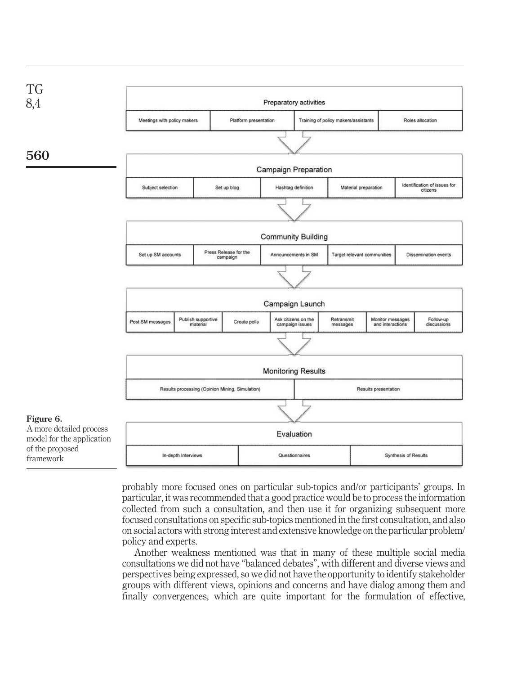

<span id="page-15-0"></span>probably more focused ones on particular sub-topics and/or participants' groups. In particular, it was recommended that a good practice would be to process the information collected from such a consultation, and then use it for organizing subsequent more focused consultations on specific sub-topics mentioned in the first consultation, and also on social actors with strong interest and extensive knowledge on the particular problem/ policy and experts.

Another weakness mentioned was that in many of these multiple social media consultations we did not have "balanced debates", with different and diverse views and perspectives being expressed, so we did not have the opportunity to identify stakeholder groups with different views, opinions and concerns and have dialog among them and finally convergences, which are quite important for the formulation of effective,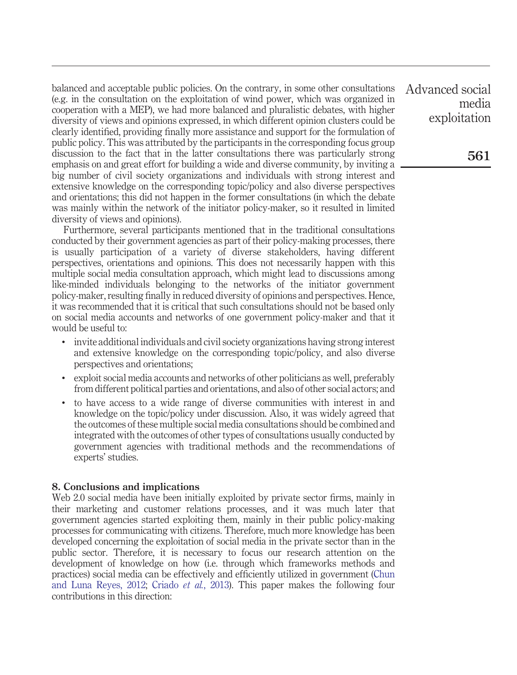balanced and acceptable public policies. On the contrary, in some other consultations (e.g. in the consultation on the exploitation of wind power, which was organized in cooperation with a MEP), we had more balanced and pluralistic debates, with higher diversity of views and opinions expressed, in which different opinion clusters could be clearly identified, providing finally more assistance and support for the formulation of public policy. This was attributed by the participants in the corresponding focus group discussion to the fact that in the latter consultations there was particularly strong emphasis on and great effort for building a wide and diverse community, by inviting a big number of civil society organizations and individuals with strong interest and extensive knowledge on the corresponding topic/policy and also diverse perspectives and orientations; this did not happen in the former consultations (in which the debate was mainly within the network of the initiator policy-maker, so it resulted in limited diversity of views and opinions).

Furthermore, several participants mentioned that in the traditional consultations conducted by their government agencies as part of their policy-making processes, there is usually participation of a variety of diverse stakeholders, having different perspectives, orientations and opinions. This does not necessarily happen with this multiple social media consultation approach, which might lead to discussions among like-minded individuals belonging to the networks of the initiator government policy-maker, resulting finally in reduced diversity of opinions and perspectives. Hence, it was recommended that it is critical that such consultations should not be based only on social media accounts and networks of one government policy-maker and that it would be useful to:

- invite additional individuals and civil society organizations having strong interest and extensive knowledge on the corresponding topic/policy, and also diverse perspectives and orientations;
- exploit social media accounts and networks of other politicians as well, preferably from different political parties and orientations, and also of other social actors; and
- to have access to a wide range of diverse communities with interest in and knowledge on the topic/policy under discussion. Also, it was widely agreed that the outcomes of these multiple social media consultations should be combined and integrated with the outcomes of other types of consultations usually conducted by government agencies with traditional methods and the recommendations of experts' studies.

#### **8. Conclusions and implications**

Web 2.0 social media have been initially exploited by private sector firms, mainly in their marketing and customer relations processes, and it was much later that government agencies started exploiting them, mainly in their public policy-making processes for communicating with citizens. Therefore, much more knowledge has been developed concerning the exploitation of social media in the private sector than in the public sector. Therefore, it is necessary to focus our research attention on the development of knowledge on how (i.e. through which frameworks methods and practices) social media can be effectively and efficiently utilized in government [\(Chun](#page-19-2) and [Luna Reyes, 2012;](#page-19-2) [Criado](#page-20-5) *et al.*, 2013). This paper makes the following four contributions in this direction: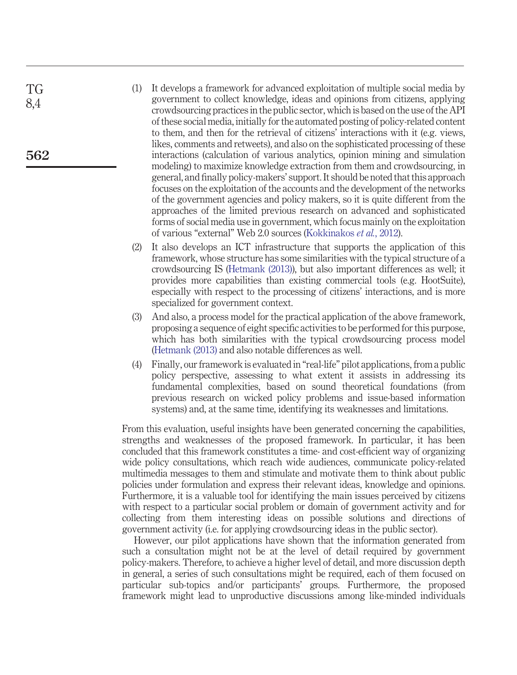- (1) It develops a framework for advanced exploitation of multiple social media by government to collect knowledge, ideas and opinions from citizens, applying crowdsourcing practices in the public sector, which is based on the use of the API of these social media, initially for the automated posting of policy-related content to them, and then for the retrieval of citizens' interactions with it (e.g. views, likes, comments and retweets), and also on the sophisticated processing of these interactions (calculation of various analytics, opinion mining and simulation modeling) to maximize knowledge extraction from them and crowdsourcing, in general, and finally policy-makers' support. It should be noted that this approach focuses on the exploitation of the accounts and the development of the networks of the government agencies and policy makers, so it is quite different from the approaches of the limited previous research on advanced and sophisticated forms of social media use in government, which focus mainly on the exploitation of various "external" Web 2.0 sources [\(Kokkinakos](#page-20-15) *et al.*, 2012).
- (2) It also develops an ICT infrastructure that supports the application of this framework, whose structure has some similarities with the typical structure of a crowdsourcing IS [\(Hetmank \(2013\)\)](#page-20-13), but also important differences as well; it provides more capabilities than existing commercial tools (e.g. HootSuite), especially with respect to the processing of citizens' interactions, and is more specialized for government context.
- (3) And also, a process model for the practical application of the above framework, proposing a sequence of eight specific activities to be performed for this purpose, which has both similarities with the typical crowdsourcing process model [\(Hetmank \(2013\)](#page-20-13) and also notable differences as well.
- (4) Finally, our framework is evaluated in "real-life" pilot applications, from a public policy perspective, assessing to what extent it assists in addressing its fundamental complexities, based on sound theoretical foundations (from previous research on wicked policy problems and issue-based information systems) and, at the same time, identifying its weaknesses and limitations.

From this evaluation, useful insights have been generated concerning the capabilities, strengths and weaknesses of the proposed framework. In particular, it has been concluded that this framework constitutes a time- and cost-efficient way of organizing wide policy consultations, which reach wide audiences, communicate policy-related multimedia messages to them and stimulate and motivate them to think about public policies under formulation and express their relevant ideas, knowledge and opinions. Furthermore, it is a valuable tool for identifying the main issues perceived by citizens with respect to a particular social problem or domain of government activity and for collecting from them interesting ideas on possible solutions and directions of government activity (i.e. for applying crowdsourcing ideas in the public sector).

However, our pilot applications have shown that the information generated from such a consultation might not be at the level of detail required by government policy-makers. Therefore, to achieve a higher level of detail, and more discussion depth in general, a series of such consultations might be required, each of them focused on particular sub-topics and/or participants' groups. Furthermore, the proposed framework might lead to unproductive discussions among like-minded individuals

**562**

TG 8,4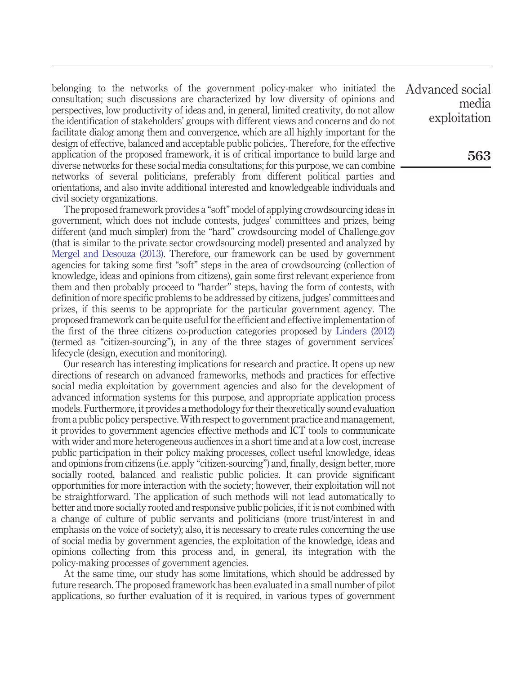belonging to the networks of the government policy-maker who initiated the consultation; such discussions are characterized by low diversity of opinions and perspectives, low productivity of ideas and, in general, limited creativity, do not allow the identification of stakeholders' groups with different views and concerns and do not facilitate dialog among them and convergence, which are all highly important for the design of effective, balanced and acceptable public policies,. Therefore, for the effective application of the proposed framework, it is of critical importance to build large and diverse networks for these social media consultations; for this purpose, we can combine networks of several politicians, preferably from different political parties and orientations, and also invite additional interested and knowledgeable individuals and civil society organizations.

The proposed framework provides a "soft" model of applying crowdsourcing ideas in government, which does not include contests, judges' committees and prizes, being different (and much simpler) from the "hard" crowdsourcing model of Challenge.gov (that is similar to the private sector crowdsourcing model) presented and analyzed by [Mergel and Desouza \(2013\).](#page-20-14) Therefore, our framework can be used by government agencies for taking some first "soft" steps in the area of crowdsourcing (collection of knowledge, ideas and opinions from citizens), gain some first relevant experience from them and then probably proceed to "harder" steps, having the form of contests, with definition of more specific problems to be addressed by citizens, judges' committees and prizes, if this seems to be appropriate for the particular government agency. The proposed framework can be quite useful for the efficient and effective implementation of the first of the three citizens co-production categories proposed by [Linders \(2012\)](#page-20-9) (termed as "citizen-sourcing"), in any of the three stages of government services' lifecycle (design, execution and monitoring).

Our research has interesting implications for research and practice. It opens up new directions of research on advanced frameworks, methods and practices for effective social media exploitation by government agencies and also for the development of advanced information systems for this purpose, and appropriate application process models. Furthermore, it provides a methodology for their theoretically sound evaluation from a public policy perspective. With respect to government practice and management, it provides to government agencies effective methods and ICT tools to communicate with wider and more heterogeneous audiences in a short time and at a low cost, increase public participation in their policy making processes, collect useful knowledge, ideas and opinions from citizens (i.e. apply "citizen-sourcing") and, finally, design better, more socially rooted, balanced and realistic public policies. It can provide significant opportunities for more interaction with the society; however, their exploitation will not be straightforward. The application of such methods will not lead automatically to better and more socially rooted and responsive public policies, if it is not combined with a change of culture of public servants and politicians (more trust/interest in and emphasis on the voice of society); also, it is necessary to create rules concerning the use of social media by government agencies, the exploitation of the knowledge, ideas and opinions collecting from this process and, in general, its integration with the policy-making processes of government agencies.

At the same time, our study has some limitations, which should be addressed by future research. The proposed framework has been evaluated in a small number of pilot applications, so further evaluation of it is required, in various types of government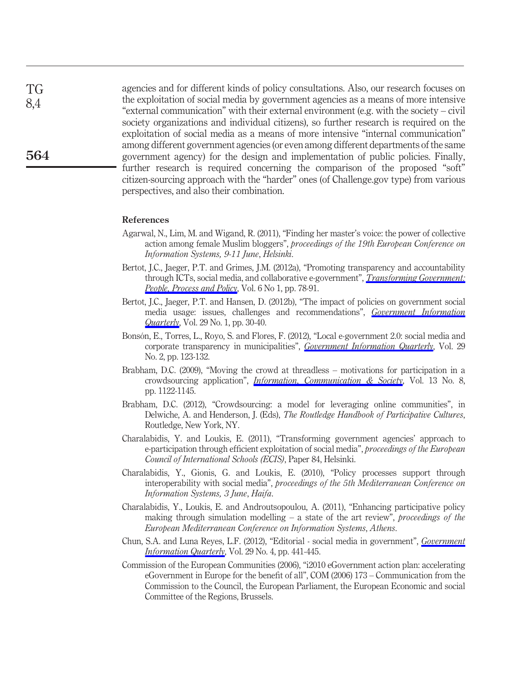agencies and for different kinds of policy consultations. Also, our research focuses on the exploitation of social media by government agencies as a means of more intensive "external communication" with their external environment (e.g. with the society – civil society organizations and individual citizens), so further research is required on the exploitation of social media as a means of more intensive "internal communication" among different government agencies (or even among different departments of the same government agency) for the design and implementation of public policies. Finally, further research is required concerning the comparison of the proposed "soft" citizen-sourcing approach with the "harder" ones (of Challenge.gov type) from various perspectives, and also their combination.

#### **References**

- <span id="page-19-1"></span>Agarwal, N., Lim, M. and Wigand, R. (2011), "Finding her master's voice: the power of collective action among female Muslim bloggers", *proceedings of the 19th European Conference on Information Systems, 9-11 June*, *Helsinki*.
- <span id="page-19-3"></span>Bertot, J.C., Jaeger, P.T. and Grimes, J.M. (2012a), "Promoting transparency and accountability through ICTs, social media, and collaborative e-government", *[Transforming Government:](http://www.emeraldinsight.com/action/showLinks?system=10.1108%2F17506161211214831) [People, Process and Policy](http://www.emeraldinsight.com/action/showLinks?system=10.1108%2F17506161211214831)*, Vol. 6 No 1, pp. 78-91.
- <span id="page-19-4"></span>Bertot, J.C., Jaeger, P.T. and Hansen, D. (2012b), "The impact of policies on government social media usage: issues, challenges and recommendations", *[Government Information](http://www.emeraldinsight.com/action/showLinks?crossref=10.1016%2Fj.giq.2011.04.004) [Quarterly](http://www.emeraldinsight.com/action/showLinks?crossref=10.1016%2Fj.giq.2011.04.004)*, Vol. 29 No. 1, pp. 30-40.
- <span id="page-19-5"></span>Bonsón, E., Torres, L., Royo, S. and Flores, F. (2012), "Local e-government 2.0: social media and corporate transparency in municipalities", *[Government Information Quarterly](http://www.emeraldinsight.com/action/showLinks?crossref=10.1016%2Fj.giq.2011.10.001)*, Vol. 29 No. 2, pp. 123-132.
- <span id="page-19-6"></span>Brabham, D.C. (2009), "Moving the crowd at threadless – motivations for participation in a crowdsourcing application", *[Information, Communication & Society](http://www.emeraldinsight.com/action/showLinks?crossref=10.1080%2F13691181003624090)*, Vol. 13 No. 8, pp. 1122-1145.
- <span id="page-19-7"></span>Brabham, D.C. (2012), "Crowdsourcing: a model for leveraging online communities", in Delwiche, A. and Henderson, J. (Eds), *The Routledge Handbook of Participative Cultures*, Routledge, New York, NY.
- <span id="page-19-9"></span>Charalabidis, Y. and Loukis, E. (2011), "Transforming government agencies' approach to e-participation through efficient exploitation of social media", *proceedings of the European Council of International Schools (ECIS)*, Paper 84, Helsinki.
- <span id="page-19-8"></span>Charalabidis, Y., Gionis, G. and Loukis, E. (2010), "Policy processes support through interoperability with social media", *proceedings of the 5th Mediterranean Conference on Information Systems, 3 June*, *Haifa*.
- <span id="page-19-10"></span>Charalabidis, Y., Loukis, E. and Androutsopoulou, A. (2011), "Enhancing participative policy making through simulation modelling – a state of the art review", *proceedings of the European Mediterranean Conference on Information Systems*, *Athens*.
- <span id="page-19-2"></span>Chun, S.A. and Luna Reyes, L.F. (2012), "Editorial - social media in government", *[Government](http://www.emeraldinsight.com/action/showLinks?crossref=10.1016%2Fj.giq.2012.07.003) [Information Quarterly](http://www.emeraldinsight.com/action/showLinks?crossref=10.1016%2Fj.giq.2012.07.003)*, Vol. 29 No. 4, pp. 441-445.
- <span id="page-19-0"></span>Commission of the European Communities (2006), "i2010 eGovernment action plan: accelerating eGovernment in Europe for the benefit of all", COM (2006) 173 – Communication from the Commission to the Council, the European Parliament, the European Economic and social Committee of the Regions, Brussels.

TG 8,4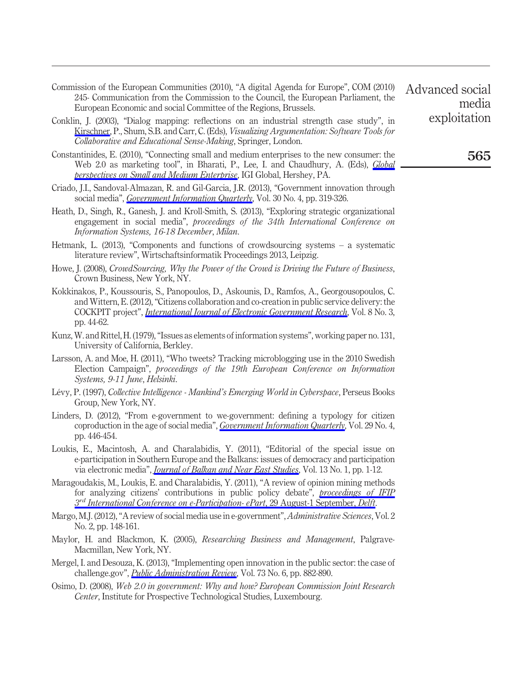- <span id="page-20-0"></span>Commission of the European Communities (2010), "A digital Agenda for Europe", COM (2010) 245- Communication from the Commission to the Council, the European Parliament, the European Economic and social Committee of the Regions, Brussels.
- <span id="page-20-7"></span>Conklin, J. (2003), "Dialog mapping: reflections on an industrial strength case study", in [Kirschner,](http://www.emeraldinsight.com/action/showLinks?crossref=10.1007%2F978-1-4471-0037-9_6) P., Shum, S.B. and Carr, C. (Eds), *Visualizing Argumentation: Software Tools for Collaborative and Educational Sense-Making*, Springer, London.
- <span id="page-20-2"></span>Constantinides, E. (2010), "Connecting small and medium enterprises to the new consumer: the Web 2.0 as marketing tool", in Bharati, P., Lee, I. and Chaudhury, A. (Eds), *[Global](http://www.emeraldinsight.com/action/showLinks?crossref=10.4018%2F978-1-61520-627-8.ch001) [perspectives on Small and Medium Enterprise](http://www.emeraldinsight.com/action/showLinks?crossref=10.4018%2F978-1-61520-627-8.ch001)*, IGI Global, Hershey, PA.
- <span id="page-20-5"></span>Criado, J.I., Sandoval-Almazan, R. and Gil-Garcia, J.R. (2013), "Government innovation through social media", *[Government Information Quarterly](http://www.emeraldinsight.com/action/showLinks?crossref=10.1016%2Fj.giq.2013.10.003)*, Vol. 30 No. 4, pp. 319-326.
- <span id="page-20-3"></span>Heath, D., Singh, R., Ganesh, J. and Kroll-Smith, S. (2013), "Exploring strategic organizational engagement in social media", *proceedings of the 34th International Conference on Information Systems, 16-18 December*, *Milan*.
- <span id="page-20-13"></span>Hetmank, L. (2013), "Components and functions of crowdsourcing systems – a systematic literature review", Wirtschaftsinformatik Proceedings 2013, Leipzig.
- <span id="page-20-11"></span>Howe, J. (2008), *CrowdSourcing, Why the Power of the Crowd is Driving the Future of Business*, Crown Business, New York, NY.
- <span id="page-20-15"></span>Kokkinakos, P., Koussouris, S., Panopoulos, D., Askounis, D., Ramfos, A., Georgousopoulos, C. and Wittern, E. (2012), "Citizens collaboration and co-creation in public service delivery: the COCKPIT project", *[International Journal of Electronic Government Research](http://www.emeraldinsight.com/action/showLinks?crossref=10.4018%2Fjegr.2012070103)*, Vol. 8 No. 3, pp. 44-62.
- <span id="page-20-6"></span>Kunz, W. and Rittel, H. (1979), "Issues as elements of information systems", working paper no. 131, University of California, Berkley.
- <span id="page-20-4"></span>Larsson, A. and Moe, H. (2011), "Who tweets? Tracking microblogging use in the 2010 Swedish Election Campaign", *proceedings of the 19th European Conference on Information Systems, 9-11 June*, *Helsinki*.
- <span id="page-20-12"></span>Lévy, P. (1997), *Collective Intelligence - Mankind's Emerging World in Cyberspace*, Perseus Books Group, New York, NY.
- <span id="page-20-9"></span>Linders, D. (2012), "From e-government to we-government: defining a typology for citizen coproduction in the age of social media", *[Government Information Quarterly](http://www.emeraldinsight.com/action/showLinks?crossref=10.1016%2Fj.giq.2012.06.003)*, Vol. 29 No. 4, pp. 446-454.
- <span id="page-20-1"></span>Loukis, E., Macintosh, A. and Charalabidis, Y. (2011), "Editorial of the special issue on e-participation in Southern Europe and the Balkans: issues of democracy and participation via electronic media", *[Journal of Balkan and Near East Studies](http://www.emeraldinsight.com/action/showLinks?crossref=10.1080%2F19448953.2011.550814)*, Vol. 13 No. 1, pp. 1-12.
- <span id="page-20-17"></span>Maragoudakis, M., Loukis, E. and Charalabidis, Y. (2011), "A review of opinion mining methods for analyzing citizens' contributions in public policy debate", *[proceedings of IFIP](http://www.emeraldinsight.com/action/showLinks?crossref=10.1007%2F978-3-642-23333-3_26) 3rd [International Conference on e-Participation- ePart](http://www.emeraldinsight.com/action/showLinks?crossref=10.1007%2F978-3-642-23333-3_26)*, 29 August-1 September, *Delft*.
- <span id="page-20-10"></span>Margo, M.J. (2012), "A review of social media use in e-government", *Administrative Sciences*, Vol. 2 No. 2, pp. 148-161.
- <span id="page-20-16"></span>Maylor, H. and Blackmon, K. (2005), *Researching Business and Management*, Palgrave-Macmillan, New York, NY.
- <span id="page-20-14"></span>Mergel, I. and Desouza, K. (2013), "Implementing open innovation in the public sector: the case of challenge.gov", *[Public Administration Review](http://www.emeraldinsight.com/action/showLinks?crossref=10.1111%2Fpuar.12141)*, Vol. 73 No. 6, pp. 882-890.
- <span id="page-20-8"></span>Osimo, D. (2008), *Web 2.0 in government: Why and how? European Commission Joint Research Center*, Institute for Prospective Technological Studies, Luxembourg.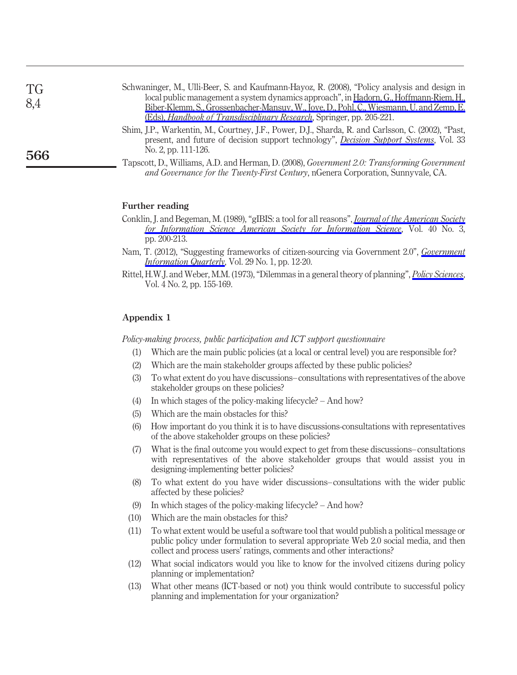<span id="page-21-3"></span>

| TG<br>8,4 | Schwaninger, M., Ulli-Beer, S. and Kaufmann-Hayoz, R. (2008), "Policy analysis and design in<br>local public management a system dynamics approach", in Hadorn, G., Hoffmann-Riem, H.,<br>Biber-Klemm, S., Grossenbacher-Mansuv, W., Jove, D., Pohl, C., Wiesmann, U. and Zemp, E.<br>(Eds), <i>Handbook of Transdisciplinary Research</i> , Springer, pp. 205-221. |
|-----------|---------------------------------------------------------------------------------------------------------------------------------------------------------------------------------------------------------------------------------------------------------------------------------------------------------------------------------------------------------------------|
| 566       | Shim, J.P., Warkentin, M., Courtney, J.F., Power, D.J., Sharda, R. and Carlsson, C. (2002), "Past,<br>present, and future of decision support technology", <i>Decision Support Systems</i> , Vol. 33<br>No. 2, pp. 111-126.                                                                                                                                         |
|           | Tapscott, D., Williams, A.D. and Herman, D. (2008), Government 2.0: Transforming Government<br>and Governance for the Twenty-First Century, nGenera Corporation, Sunnyvale, CA.                                                                                                                                                                                     |

#### <span id="page-21-2"></span><span id="page-21-0"></span>**Further reading**

- Conklin, J. and Begeman, M. (1989), "gIBIS: a tool for all reasons", *[Journal of the American Society](http://www.emeraldinsight.com/action/showLinks?crossref=10.1002%2F%28SICI%291097-4571%28198905%2940%3A3%3C200%3A%3AAID-ASI11%3E3.0.CO%3B2-U) [for Information Science American Society for Information Science](http://www.emeraldinsight.com/action/showLinks?crossref=10.1002%2F%28SICI%291097-4571%28198905%2940%3A3%3C200%3A%3AAID-ASI11%3E3.0.CO%3B2-U)*, Vol. 40 No. 3, pp. 200-213.
- Nam, T. (2012), "Suggesting frameworks of citizen-sourcing via Government 2.0", *[Government](http://www.emeraldinsight.com/action/showLinks?crossref=10.1016%2Fj.giq.2011.07.005) [Information Quarterly](http://www.emeraldinsight.com/action/showLinks?crossref=10.1016%2Fj.giq.2011.07.005)*, Vol. 29 No. 1, pp. 12-20.
- <span id="page-21-1"></span>Rittel, H.W.J. and Weber, M.M. (1973), "Dilemmas in a general theory of planning", *[Policy Sciences](http://www.emeraldinsight.com/action/showLinks?crossref=10.1007%2FBF01405730)*, Vol. 4 No. 2, pp. 155-169.

#### **Appendix 1**

*Policy-making process, public participation and ICT support questionnaire*

- (1) Which are the main public policies (at a local or central level) you are responsible for?
- (2) Which are the main stakeholder groups affected by these public policies?
- (3) To what extent do you have discussions– consultations with representatives of the above stakeholder groups on these policies?
- (4) In which stages of the policy-making lifecycle? And how?
- (5) Which are the main obstacles for this?
- (6) How important do you think it is to have discussions-consultations with representatives of the above stakeholder groups on these policies?
- (7) What is the final outcome you would expect to get from these discussions– consultations with representatives of the above stakeholder groups that would assist you in designing-implementing better policies?
- (8) To what extent do you have wider discussions– consultations with the wider public affected by these policies?
- (9) In which stages of the policy-making lifecycle? And how?
- (10) Which are the main obstacles for this?
- (11) To what extent would be useful a software tool that would publish a political message or public policy under formulation to several appropriate Web 2.0 social media, and then collect and process users' ratings, comments and other interactions?
- (12) What social indicators would you like to know for the involved citizens during policy planning or implementation?
- (13) What other means (ICT-based or not) you think would contribute to successful policy planning and implementation for your organization?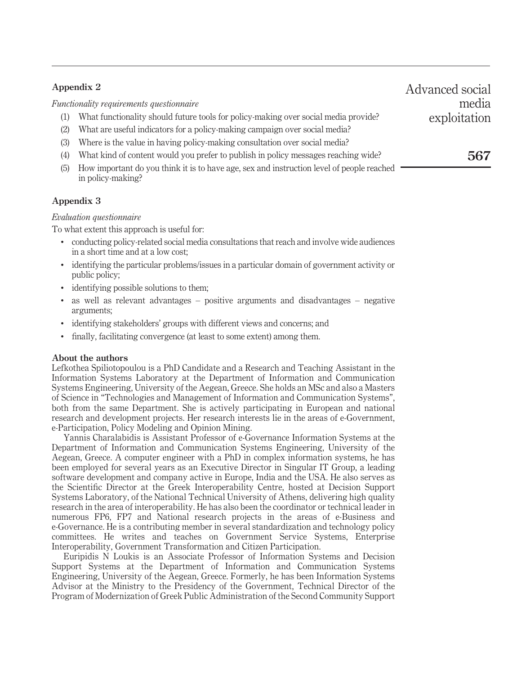#### **Appendix 2**

*Functionality requirements questionnaire*

- (1) What functionality should future tools for policy-making over social media provide?
- (2) What are useful indicators for a policy-making campaign over social media?
- (3) Where is the value in having policy-making consultation over social media?
- (4) What kind of content would you prefer to publish in policy messages reaching wide?
- (5) How important do you think it is to have age, sex and instruction level of people reached in policy-making?

#### **Appendix 3**

#### *Evaluation questionnaire*

To what extent this approach is useful for:

- conducting policy-related social media consultations that reach and involve wide audiences in a short time and at a low cost;
- identifying the particular problems/issues in a particular domain of government activity or public policy;
- identifying possible solutions to them:
- as well as relevant advantages positive arguments and disadvantages negative arguments;
- identifying stakeholders' groups with different views and concerns; and
- finally, facilitating convergence (at least to some extent) among them.

#### **About the authors**

Lefkothea Spiliotopoulou is a PhD Candidate and a Research and Teaching Assistant in the Information Systems Laboratory at the Department of Information and Communication Systems Engineering, University of the Aegean, Greece. She holds an MSc and also a Masters of Science in "Technologies and Management of Information and Communication Systems", both from the same Department. She is actively participating in European and national research and development projects. Her research interests lie in the areas of e-Government, e-Participation, Policy Modeling and Opinion Mining.

Yannis Charalabidis is Assistant Professor of e-Governance Information Systems at the Department of Information and Communication Systems Engineering, University of the Aegean, Greece. A computer engineer with a PhD in complex information systems, he has been employed for several years as an Executive Director in Singular IT Group, a leading software development and company active in Europe, India and the USA. He also serves as the Scientific Director at the Greek Interoperability Centre, hosted at Decision Support Systems Laboratory, of the National Technical University of Athens, delivering high quality research in the area of interoperability. He has also been the coordinator or technical leader in numerous FP6, FP7 and National research projects in the areas of e-Business and e-Governance. He is a contributing member in several standardization and technology policy committees. He writes and teaches on Government Service Systems, Enterprise Interoperability, Government Transformation and Citizen Participation.

Euripidis N Loukis is an Associate Professor of Information Systems and Decision Support Systems at the Department of Information and Communication Systems Engineering, University of the Aegean, Greece. Formerly, he has been Information Systems Advisor at the Ministry to the Presidency of the Government, Technical Director of the Program of Modernization of Greek Public Administration of the Second Community Support

Advanced social media exploitation